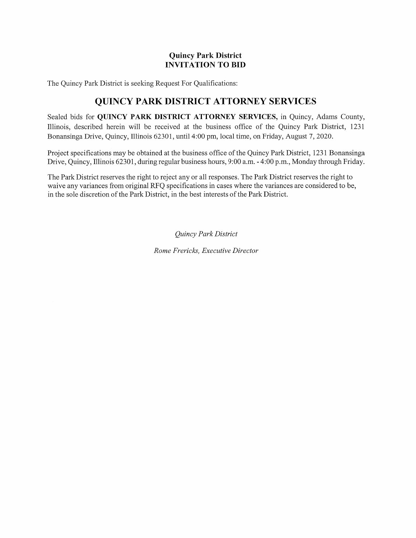### Quincy Park District INVITATION TO BID

The Quincy Park District is seeking Request For Qualifications:

# QUINCY PARK DISTRICT ATTORNEY SERVICES

Sealed bids for QUINCY PARK DISTRICT ATTORNEY SERVICES, in Quincy, Adams County, Illinois, described herein will be received at the business office of the Quincy Park District, 1231 Bonansinga Drive, Quincy, Illinois 62301, until 4:00 pm, local time, on Friday, August 7, 2020.

Project specifications may be obtained at the business office of the Quincy Park District, 1231 Bonansinga Drive, Quincy, Illinois 62301, during regular business hours, 9:00 a.m. - 4:00 p.m., Monday through Friday.

The Park District reserves the right to reject any or all responses. The Park District reserves the right to waive any variances from original RFQ specifications in cases where the variances are considered to be, in the sole discretion of the Park District, in the best interests of the Park District.

Quincy Park District

Rome Frericks, Executive Director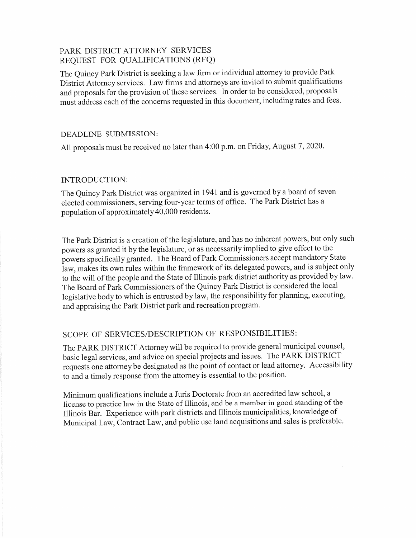### PARK DISTRICT ATTORNEY SERVICES REQUEST FOR QUALIFICATIONS (RFQ)

The Quincy Park District is seeking a law firm or individual attorney to provide Park District Attorney services. Law firms and attorneys are invited to submit qualifications and proposals for the provision of these services. In order to be considered, proposals must address each of the concerns requested in this document, including rates and fees.

#### DEADLINE SUBMISSION:

All proposals must be received no later than 4:00 p.m. on Friday, August 7, 2020.

### INTRODUCTION:

The Quincy Park District was organized in 1941 and is governed by a board of seven elected commissioners, serving four-year terms of office. The Park District has a population of approximately 40,000 residents.

The Park District is a creation of the legislature, and has no inherent powers, but only such powers as granted it by the legislature, or as necessarily implied to give effect to the powers specifically granted. The Board of Park Commissioners accept mandatory State law, makes its own rules within the framework of its delegated powers, and is subject only to the will of the people and the State of Illinois park district authority as provided by law. The Board of Park Commissioners of the Quincy Park District is considered the local legislative body to which is entrusted by law, the responsibility for planning, executing, and appraising the Park District park and recreation program.

## SCOPE OF SERVICES/DESCRIPTION OF RESPONSIBILITIES:

The PARK DISTRICT Attorney will be required to provide general municipal counsel, basic legal services, and advice on special projects and issues. The PARK DISTRICT requests one attorney be designated as the point of contact or lead attorney. Accessibility to and a timely response from the attorney is essential to the position.

Minimum qualifications include a Juris Doctorate from an accredited law school, a license to practice law in the State of Illinois, and be a member in good standing of the Illinois Bar. Experience with park districts and Illinois municipalities, knowledge of Municipal Law, Contract Law, and public use land acquisitions and sales is preferable.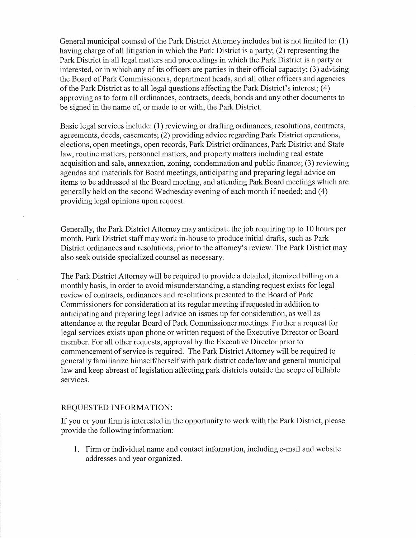General municipal counsel of the Park District Attorney includes but is not limited to: (1) having charge of all litigation in which the Park District is a party; (2) representing the Park District in all legal matters and proceedings in which the Park District is a party or interested, or in which any of its officers are parties in their official capacity; (3) advising the Board of Park Commissioners, department heads, and all other officers and agencies of the Park District as to all legal questions affecting the Park District's interest; (4) approving as to form all ordinances, contracts, deeds, bonds and any other documents to be signed in the name of, or made to or with, the Park District.

Basic legal services include: (1) reviewing or drafting ordinances, resolutions, contracts, agreements, deeds, easements; (2) providing advice regarding Park District operations, elections, open meetings, open records, Park District ordinances, Park District and State law, routine matters, personnel matters, and property matters including real estate acquisition and sale, annexation, zoning, condemnation and public finance; (3) reviewing agendas and materials for Board meetings, anticipating and preparing legal advice on items to be addressed at the Board meeting, and attending Park Board meetings which are generally held on the second Wednesday evening of each month if needed; and (4) providing legal opinions upon request.

Generally, the Park District Attorney may anticipate the job requiring up to 10 hours per month. Park District staff may work in-house to produce initial drafts, such as Park District ordinances and resolutions, prior to the attorney's review. The Park District may also seek outside specialized counsel as necessary.

The Park District Attorney will be required to provide a detailed, itemized billing on a monthly basis, in order to avoid misunderstanding, a standing request exists for legal review of contracts, ordinances and resolutions presented to the Board of Park Commissioners for consideration at its regular meeting if requested in addition to anticipating and preparing legal advice on issues up for consideration, as well as attendance at the regular Board of Park Commissioner meetings. Further a request for legal services exists upon phone or written request of the Executive Director or Board member. For all other requests, approval by the Executive Director prior to commencement of service is required. The Park District Attorney will be required to generally familiarize himself/herselfwith park district code/law and general municipal law and keep abreast of legislation affecting park districts outside the scope of billable services.

#### REQUESTED INFORMATION:

If you or your firm is interested in the opportunity to work with the Park District, please provide the following information:

1. Firm or individual name and contact information, including e-mail and website addresses and year organized.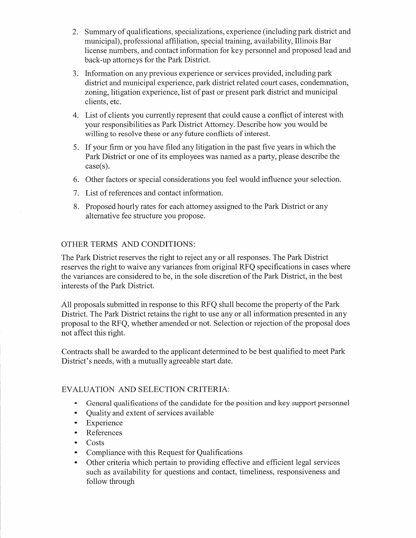- 2. Summary of qualifications, specializations, experience (including park district and municipal), professional affiliation, special training, availability, Illinois Bar license numbers, and contact information for key personnel and proposed lead and back-up attorneys for the Park District.
- 3. Information on any previous experience or services provided, including park district and municipal experience, park district related court cases, condemnation, zoning, litigation experience, list of past or present park district and municipal clients, etc.
- 4. List of clients you currently represent that could cause a conflict of interest with your responsibilities as Park District Attorney. Describe how you would be willing to resolve these or any future conflicts of interest.
- 5. If your firm or you have filed any litigation in the past five years in which the Park District or one of its employees was named as a party, please describe the case(s).
- 6. Other factors or special considerations you feel would influence your selection.
- 7. List of references and contact information.
- 8. Proposed hourly rates for each attorney assigned to the Park District or any alternative fee structure you propose.

## OTHER TERMS AND CONDITIONS:

The Park District reserves the right to reject any or all responses. The Park District reserves the right to waive any variances from original RFQ specifications in cases where the variances are considered to be, in the sole discretion of the Park District, in the best interests of the Park District.

All proposals submitted in response to this RFQ shall become the property of the Park District. The Park District retains the right to use any or all information presented in any proposal to the RFQ, whether amended or not. Selection or rejection of the proposal does not affect this right.

Contracts shall be awarded to the applicant determined to be best qualified to meet Park District's needs, with a mutually agreeable start date.

## EVALUATION AND SELECTION CRITERIA:

- General qualifications of the candidate for the position and key support personnel
- Quality and extent of services available
- Experience
- References
- $\bullet$  Costs
- Compliance with this Request for Qualifications
- Other criteria which pertain to providing effective and efficient legal services such as availability for questions and contact, timeliness, responsiveness and follow through